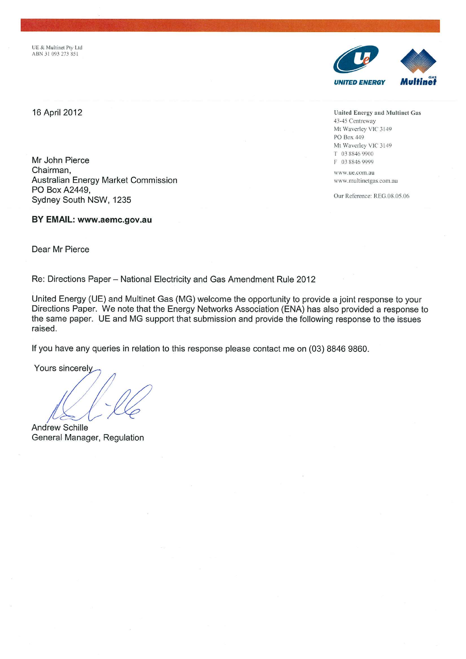UE & Multinet Pty Ltd ABN 31 093 273 851



16 April 2012

Mr John Pierce Chairman. Australian Energy Market Commission PO Box A2449, Sydney South NSW, 1235

BY EMAIL: www.aemc.gov.au

**United Energy and Multinet Gas** 43-45 Centreway Mt Waverley VIC 3149 PO Box 449 Mt Waverley VIC 3149 T 03 8846 9900 F 03 8846 9999

www.ue.com.au www.multinetgas.com.au

Our Reference: REG.08.05.06

Dear Mr Pierce

Re: Directions Paper - National Electricity and Gas Amendment Rule 2012

United Energy (UE) and Multinet Gas (MG) welcome the opportunity to provide a joint response to your Directions Paper. We note that the Energy Networks Association (ENA) has also provided a response to the same paper. UE and MG support that submission and provide the following response to the issues raised.

If you have any queries in relation to this response please contact me on (03) 8846 9860.

Yours sincerely

Andrew Schille General Manager, Regulation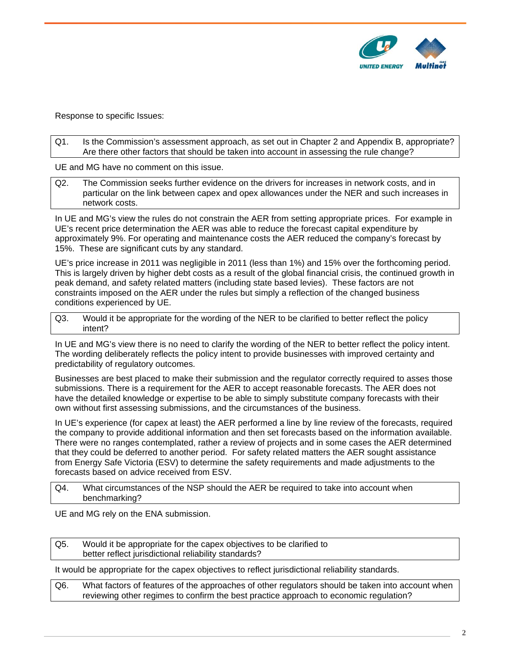

Response to specific Issues:

Q1. Is the Commission's assessment approach, as set out in Chapter 2 and Appendix B, appropriate? Are there other factors that should be taken into account in assessing the rule change?

UE and MG have no comment on this issue.

Q2. The Commission seeks further evidence on the drivers for increases in network costs, and in particular on the link between capex and opex allowances under the NER and such increases in network costs.

In UE and MG's view the rules do not constrain the AER from setting appropriate prices. For example in UE's recent price determination the AER was able to reduce the forecast capital expenditure by approximately 9%. For operating and maintenance costs the AER reduced the company's forecast by 15%. These are significant cuts by any standard.

UE's price increase in 2011 was negligible in 2011 (less than 1%) and 15% over the forthcoming period. This is largely driven by higher debt costs as a result of the global financial crisis, the continued growth in peak demand, and safety related matters (including state based levies). These factors are not constraints imposed on the AER under the rules but simply a reflection of the changed business conditions experienced by UE.

Q3. Would it be appropriate for the wording of the NER to be clarified to better reflect the policy intent?

In UE and MG's view there is no need to clarify the wording of the NER to better reflect the policy intent. The wording deliberately reflects the policy intent to provide businesses with improved certainty and predictability of regulatory outcomes.

Businesses are best placed to make their submission and the regulator correctly required to asses those submissions. There is a requirement for the AER to accept reasonable forecasts. The AER does not have the detailed knowledge or expertise to be able to simply substitute company forecasts with their own without first assessing submissions, and the circumstances of the business.

In UE's experience (for capex at least) the AER performed a line by line review of the forecasts, required the company to provide additional information and then set forecasts based on the information available. There were no ranges contemplated, rather a review of projects and in some cases the AER determined that they could be deferred to another period. For safety related matters the AER sought assistance from Energy Safe Victoria (ESV) to determine the safety requirements and made adjustments to the forecasts based on advice received from ESV.

Q4. What circumstances of the NSP should the AER be required to take into account when benchmarking?

UE and MG rely on the ENA submission.

Q5. Would it be appropriate for the capex objectives to be clarified to better reflect jurisdictional reliability standards?

It would be appropriate for the capex objectives to reflect jurisdictional reliability standards.

Q6. What factors of features of the approaches of other regulators should be taken into account when reviewing other regimes to confirm the best practice approach to economic regulation?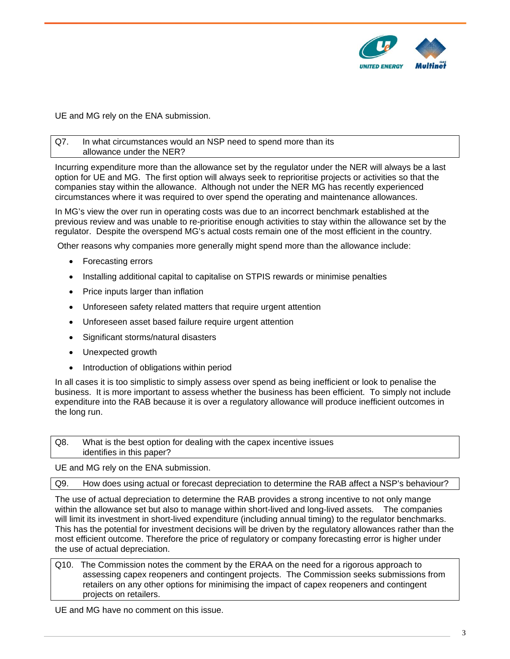

UE and MG rely on the ENA submission.

## Q7. In what circumstances would an NSP need to spend more than its allowance under the NER?

Incurring expenditure more than the allowance set by the regulator under the NER will always be a last option for UE and MG. The first option will always seek to reprioritise projects or activities so that the companies stay within the allowance. Although not under the NER MG has recently experienced circumstances where it was required to over spend the operating and maintenance allowances.

In MG's view the over run in operating costs was due to an incorrect benchmark established at the previous review and was unable to re-prioritise enough activities to stay within the allowance set by the regulator. Despite the overspend MG's actual costs remain one of the most efficient in the country.

Other reasons why companies more generally might spend more than the allowance include:

- Forecasting errors
- Installing additional capital to capitalise on STPIS rewards or minimise penalties
- Price inputs larger than inflation
- Unforeseen safety related matters that require urgent attention
- Unforeseen asset based failure require urgent attention
- Significant storms/natural disasters
- Unexpected growth
- Introduction of obligations within period

In all cases it is too simplistic to simply assess over spend as being inefficient or look to penalise the business. It is more important to assess whether the business has been efficient. To simply not include expenditure into the RAB because it is over a regulatory allowance will produce inefficient outcomes in the long run.

Q8. What is the best option for dealing with the capex incentive issues identifies in this paper?

UE and MG rely on the ENA submission.

Q9. How does using actual or forecast depreciation to determine the RAB affect a NSP's behaviour?

The use of actual depreciation to determine the RAB provides a strong incentive to not only mange within the allowance set but also to manage within short-lived and long-lived assets. The companies will limit its investment in short-lived expenditure (including annual timing) to the regulator benchmarks. This has the potential for investment decisions will be driven by the regulatory allowances rather than the most efficient outcome. Therefore the price of regulatory or company forecasting error is higher under the use of actual depreciation.

Q10. The Commission notes the comment by the ERAA on the need for a rigorous approach to assessing capex reopeners and contingent projects. The Commission seeks submissions from retailers on any other options for minimising the impact of capex reopeners and contingent projects on retailers.

UE and MG have no comment on this issue.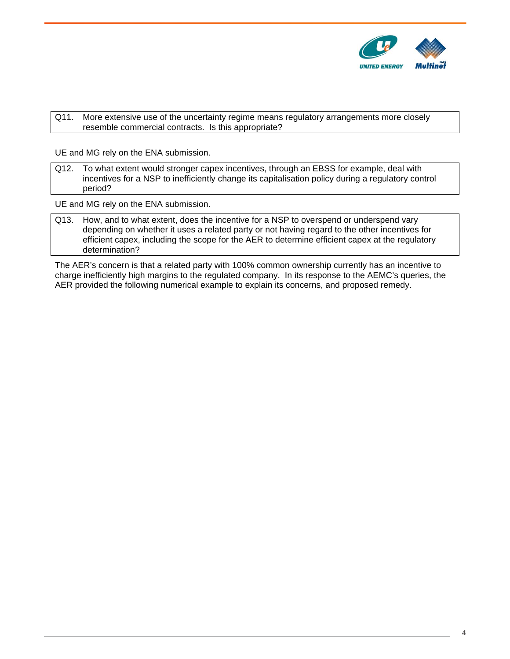

## Q11. More extensive use of the uncertainty regime means regulatory arrangements more closely resemble commercial contracts. Is this appropriate?

UE and MG rely on the ENA submission.

Q12. To what extent would stronger capex incentives, through an EBSS for example, deal with incentives for a NSP to inefficiently change its capitalisation policy during a regulatory control period?

UE and MG rely on the ENA submission.

Q13. How, and to what extent, does the incentive for a NSP to overspend or underspend vary depending on whether it uses a related party or not having regard to the other incentives for efficient capex, including the scope for the AER to determine efficient capex at the regulatory determination?

The AER's concern is that a related party with 100% common ownership currently has an incentive to charge inefficiently high margins to the regulated company. In its response to the AEMC's queries, the AER provided the following numerical example to explain its concerns, and proposed remedy.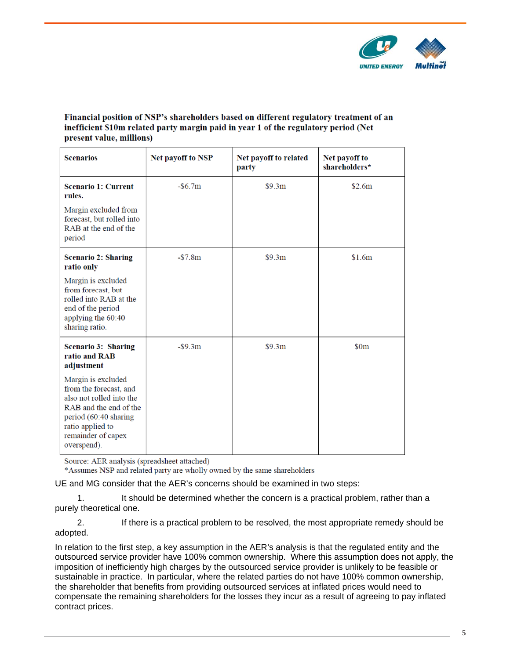

## Financial position of NSP's shareholders based on different regulatory treatment of an inefficient \$10m related party margin paid in year 1 of the regulatory period (Net present value, millions)

| <b>Scenarios</b>                                                                                                                                                                     | <b>Net payoff to NSP</b> | Net payoff to related<br>party | Net payoff to<br>shareholders* |
|--------------------------------------------------------------------------------------------------------------------------------------------------------------------------------------|--------------------------|--------------------------------|--------------------------------|
| <b>Scenario 1: Current</b><br>rules.                                                                                                                                                 | $-$ \$6.7m               | \$9.3m                         | \$2.6m                         |
| Margin excluded from<br>forecast, but rolled into<br>RAB at the end of the<br>period                                                                                                 |                          |                                |                                |
| <b>Scenario 2: Sharing</b><br>ratio only                                                                                                                                             | $- $7.8m$                | \$9.3m                         | \$1.6m                         |
| Margin is excluded<br>from forecast, but<br>rolled into RAB at the<br>end of the period<br>applying the 60:40<br>sharing ratio.                                                      |                          |                                |                                |
| <b>Scenario 3: Sharing</b><br>ratio and RAB<br>adjustment                                                                                                                            | $-$ \$9.3 $m$            | \$9.3m                         | \$0m                           |
| Margin is excluded<br>from the forecast, and<br>also not rolled into the<br>RAB and the end of the<br>period (60:40 sharing<br>ratio applied to<br>remainder of capex<br>overspend). |                          |                                |                                |

Source: AER analysis (spreadsheet attached)

\*Assumes NSP and related party are wholly owned by the same shareholders

UE and MG consider that the AER's concerns should be examined in two steps:

1. It should be determined whether the concern is a practical problem, rather than a purely theoretical one.

2. If there is a practical problem to be resolved, the most appropriate remedy should be adopted.

In relation to the first step, a key assumption in the AER's analysis is that the regulated entity and the outsourced service provider have 100% common ownership. Where this assumption does not apply, the imposition of inefficiently high charges by the outsourced service provider is unlikely to be feasible or sustainable in practice. In particular, where the related parties do not have 100% common ownership, the shareholder that benefits from providing outsourced services at inflated prices would need to compensate the remaining shareholders for the losses they incur as a result of agreeing to pay inflated contract prices.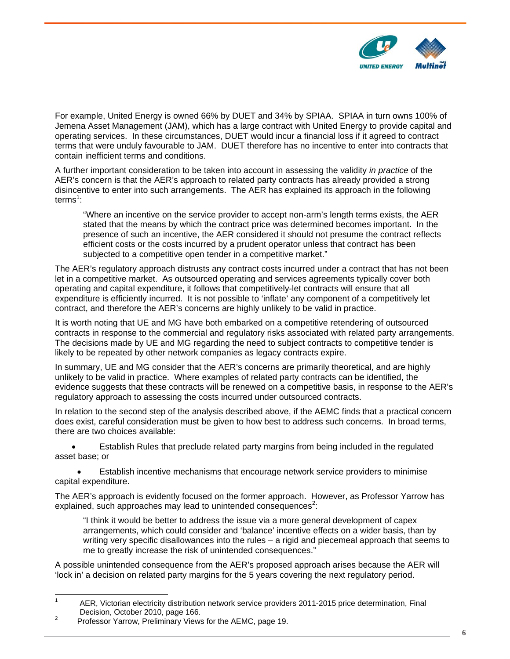

For example, United Energy is owned 66% by DUET and 34% by SPIAA. SPIAA in turn owns 100% of Jemena Asset Management (JAM), which has a large contract with United Energy to provide capital and operating services. In these circumstances, DUET would incur a financial loss if it agreed to contract terms that were unduly favourable to JAM. DUET therefore has no incentive to enter into contracts that contain inefficient terms and conditions.

A further important consideration to be taken into account in assessing the validity *in practice* of the AER's concern is that the AER's approach to related party contracts has already provided a strong disincentive to enter into such arrangements. The AER has explained its approach in the following terms<sup>1</sup>:

"Where an incentive on the service provider to accept non-arm's length terms exists, the AER stated that the means by which the contract price was determined becomes important. In the presence of such an incentive, the AER considered it should not presume the contract reflects efficient costs or the costs incurred by a prudent operator unless that contract has been subjected to a competitive open tender in a competitive market."

The AER's regulatory approach distrusts any contract costs incurred under a contract that has not been let in a competitive market. As outsourced operating and services agreements typically cover both operating and capital expenditure, it follows that competitively-let contracts will ensure that all expenditure is efficiently incurred. It is not possible to 'inflate' any component of a competitively let contract, and therefore the AER's concerns are highly unlikely to be valid in practice.

It is worth noting that UE and MG have both embarked on a competitive retendering of outsourced contracts in response to the commercial and regulatory risks associated with related party arrangements. The decisions made by UE and MG regarding the need to subject contracts to competitive tender is likely to be repeated by other network companies as legacy contracts expire.

In summary, UE and MG consider that the AER's concerns are primarily theoretical, and are highly unlikely to be valid in practice. Where examples of related party contracts can be identified, the evidence suggests that these contracts will be renewed on a competitive basis, in response to the AER's regulatory approach to assessing the costs incurred under outsourced contracts.

In relation to the second step of the analysis described above, if the AEMC finds that a practical concern does exist, careful consideration must be given to how best to address such concerns. In broad terms, there are two choices available:

 Establish Rules that preclude related party margins from being included in the regulated asset base; or

 Establish incentive mechanisms that encourage network service providers to minimise capital expenditure.

The AER's approach is evidently focused on the former approach. However, as Professor Yarrow has explained, such approaches may lead to unintended consequences<sup>2</sup>:

"I think it would be better to address the issue via a more general development of capex arrangements, which could consider and 'balance' incentive effects on a wider basis, than by writing very specific disallowances into the rules – a rigid and piecemeal approach that seems to me to greatly increase the risk of unintended consequences."

A possible unintended consequence from the AER's proposed approach arises because the AER will 'lock in' a decision on related party margins for the 5 years covering the next regulatory period.

 $\frac{1}{1}$  AER, Victorian electricity distribution network service providers 2011-2015 price determination, Final Decision, October 2010, page 166.

Professor Yarrow, Preliminary Views for the AEMC, page 19.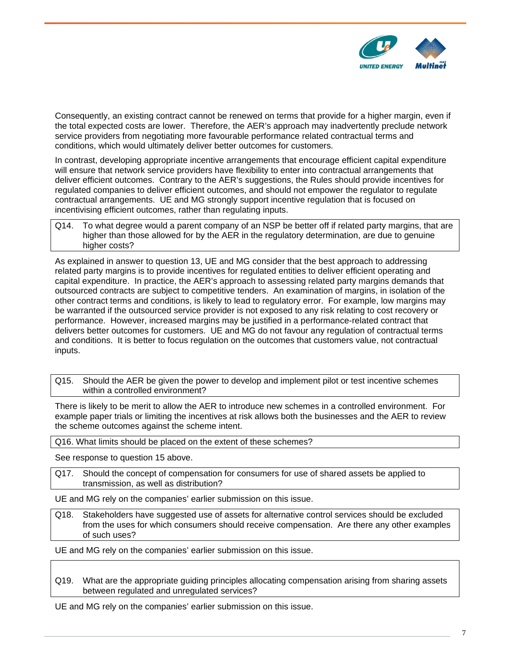

Consequently, an existing contract cannot be renewed on terms that provide for a higher margin, even if the total expected costs are lower. Therefore, the AER's approach may inadvertently preclude network service providers from negotiating more favourable performance related contractual terms and conditions, which would ultimately deliver better outcomes for customers.

In contrast, developing appropriate incentive arrangements that encourage efficient capital expenditure will ensure that network service providers have flexibility to enter into contractual arrangements that deliver efficient outcomes. Contrary to the AER's suggestions, the Rules should provide incentives for regulated companies to deliver efficient outcomes, and should not empower the regulator to regulate contractual arrangements. UE and MG strongly support incentive regulation that is focused on incentivising efficient outcomes, rather than regulating inputs.

Q14. To what degree would a parent company of an NSP be better off if related party margins, that are higher than those allowed for by the AER in the regulatory determination, are due to genuine higher costs?

As explained in answer to question 13, UE and MG consider that the best approach to addressing related party margins is to provide incentives for regulated entities to deliver efficient operating and capital expenditure. In practice, the AER's approach to assessing related party margins demands that outsourced contracts are subject to competitive tenders. An examination of margins, in isolation of the other contract terms and conditions, is likely to lead to regulatory error. For example, low margins may be warranted if the outsourced service provider is not exposed to any risk relating to cost recovery or performance. However, increased margins may be justified in a performance-related contract that delivers better outcomes for customers. UE and MG do not favour any regulation of contractual terms and conditions. It is better to focus regulation on the outcomes that customers value, not contractual inputs.

Q15. Should the AER be given the power to develop and implement pilot or test incentive schemes within a controlled environment?

There is likely to be merit to allow the AER to introduce new schemes in a controlled environment. For example paper trials or limiting the incentives at risk allows both the businesses and the AER to review the scheme outcomes against the scheme intent.

Q16. What limits should be placed on the extent of these schemes?

See response to question 15 above.

Q17. Should the concept of compensation for consumers for use of shared assets be applied to transmission, as well as distribution?

UE and MG rely on the companies' earlier submission on this issue.

Q18. Stakeholders have suggested use of assets for alternative control services should be excluded from the uses for which consumers should receive compensation. Are there any other examples of such uses?

UE and MG rely on the companies' earlier submission on this issue.

Q19. What are the appropriate guiding principles allocating compensation arising from sharing assets between regulated and unregulated services?

UE and MG rely on the companies' earlier submission on this issue.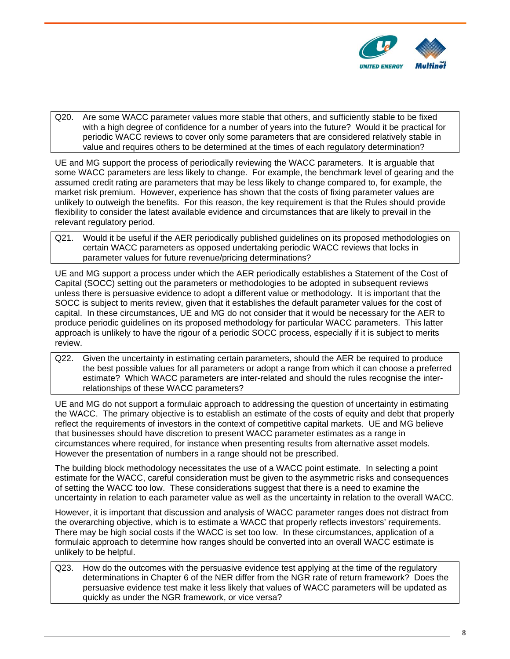

Q20. Are some WACC parameter values more stable that others, and sufficiently stable to be fixed with a high degree of confidence for a number of years into the future? Would it be practical for periodic WACC reviews to cover only some parameters that are considered relatively stable in value and requires others to be determined at the times of each regulatory determination?

UE and MG support the process of periodically reviewing the WACC parameters. It is arguable that some WACC parameters are less likely to change. For example, the benchmark level of gearing and the assumed credit rating are parameters that may be less likely to change compared to, for example, the market risk premium. However, experience has shown that the costs of fixing parameter values are unlikely to outweigh the benefits. For this reason, the key requirement is that the Rules should provide flexibility to consider the latest available evidence and circumstances that are likely to prevail in the relevant regulatory period.

Q21. Would it be useful if the AER periodically published guidelines on its proposed methodologies on certain WACC parameters as opposed undertaking periodic WACC reviews that locks in parameter values for future revenue/pricing determinations?

UE and MG support a process under which the AER periodically establishes a Statement of the Cost of Capital (SOCC) setting out the parameters or methodologies to be adopted in subsequent reviews unless there is persuasive evidence to adopt a different value or methodology. It is important that the SOCC is subject to merits review, given that it establishes the default parameter values for the cost of capital. In these circumstances, UE and MG do not consider that it would be necessary for the AER to produce periodic guidelines on its proposed methodology for particular WACC parameters. This latter approach is unlikely to have the rigour of a periodic SOCC process, especially if it is subject to merits review.

Q22. Given the uncertainty in estimating certain parameters, should the AER be required to produce the best possible values for all parameters or adopt a range from which it can choose a preferred estimate? Which WACC parameters are inter-related and should the rules recognise the interrelationships of these WACC parameters?

UE and MG do not support a formulaic approach to addressing the question of uncertainty in estimating the WACC. The primary objective is to establish an estimate of the costs of equity and debt that properly reflect the requirements of investors in the context of competitive capital markets. UE and MG believe that businesses should have discretion to present WACC parameter estimates as a range in circumstances where required, for instance when presenting results from alternative asset models. However the presentation of numbers in a range should not be prescribed.

The building block methodology necessitates the use of a WACC point estimate. In selecting a point estimate for the WACC, careful consideration must be given to the asymmetric risks and consequences of setting the WACC too low. These considerations suggest that there is a need to examine the uncertainty in relation to each parameter value as well as the uncertainty in relation to the overall WACC.

However, it is important that discussion and analysis of WACC parameter ranges does not distract from the overarching objective, which is to estimate a WACC that properly reflects investors' requirements. There may be high social costs if the WACC is set too low. In these circumstances, application of a formulaic approach to determine how ranges should be converted into an overall WACC estimate is unlikely to be helpful.

Q23. How do the outcomes with the persuasive evidence test applying at the time of the regulatory determinations in Chapter 6 of the NER differ from the NGR rate of return framework? Does the persuasive evidence test make it less likely that values of WACC parameters will be updated as quickly as under the NGR framework, or vice versa?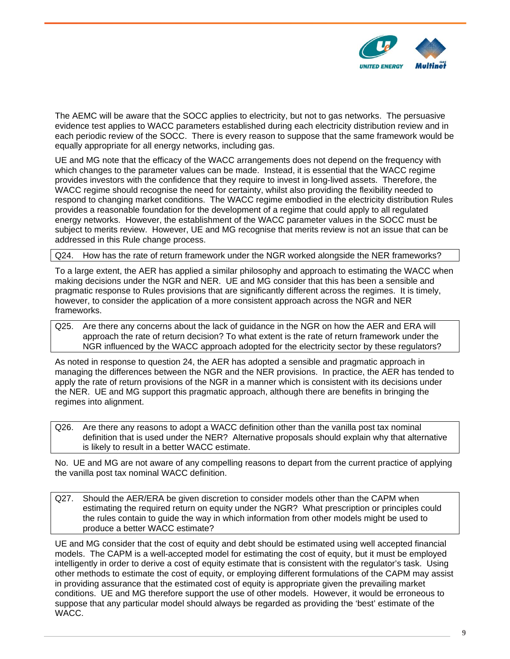

The AEMC will be aware that the SOCC applies to electricity, but not to gas networks. The persuasive evidence test applies to WACC parameters established during each electricity distribution review and in each periodic review of the SOCC. There is every reason to suppose that the same framework would be equally appropriate for all energy networks, including gas.

UE and MG note that the efficacy of the WACC arrangements does not depend on the frequency with which changes to the parameter values can be made. Instead, it is essential that the WACC regime provides investors with the confidence that they require to invest in long-lived assets. Therefore, the WACC regime should recognise the need for certainty, whilst also providing the flexibility needed to respond to changing market conditions. The WACC regime embodied in the electricity distribution Rules provides a reasonable foundation for the development of a regime that could apply to all regulated energy networks. However, the establishment of the WACC parameter values in the SOCC must be subject to merits review. However, UE and MG recognise that merits review is not an issue that can be addressed in this Rule change process.

Q24. How has the rate of return framework under the NGR worked alongside the NER frameworks?

To a large extent, the AER has applied a similar philosophy and approach to estimating the WACC when making decisions under the NGR and NER. UE and MG consider that this has been a sensible and pragmatic response to Rules provisions that are significantly different across the regimes. It is timely, however, to consider the application of a more consistent approach across the NGR and NER frameworks.

Q25. Are there any concerns about the lack of guidance in the NGR on how the AER and ERA will approach the rate of return decision? To what extent is the rate of return framework under the NGR influenced by the WACC approach adopted for the electricity sector by these regulators?

As noted in response to question 24, the AER has adopted a sensible and pragmatic approach in managing the differences between the NGR and the NER provisions. In practice, the AER has tended to apply the rate of return provisions of the NGR in a manner which is consistent with its decisions under the NER. UE and MG support this pragmatic approach, although there are benefits in bringing the regimes into alignment.

Q26. Are there any reasons to adopt a WACC definition other than the vanilla post tax nominal definition that is used under the NER? Alternative proposals should explain why that alternative is likely to result in a better WACC estimate.

No. UE and MG are not aware of any compelling reasons to depart from the current practice of applying the vanilla post tax nominal WACC definition.

Q27. Should the AER/ERA be given discretion to consider models other than the CAPM when estimating the required return on equity under the NGR? What prescription or principles could the rules contain to guide the way in which information from other models might be used to produce a better WACC estimate?

UE and MG consider that the cost of equity and debt should be estimated using well accepted financial models. The CAPM is a well-accepted model for estimating the cost of equity, but it must be employed intelligently in order to derive a cost of equity estimate that is consistent with the regulator's task. Using other methods to estimate the cost of equity, or employing different formulations of the CAPM may assist in providing assurance that the estimated cost of equity is appropriate given the prevailing market conditions. UE and MG therefore support the use of other models. However, it would be erroneous to suppose that any particular model should always be regarded as providing the 'best' estimate of the WACC.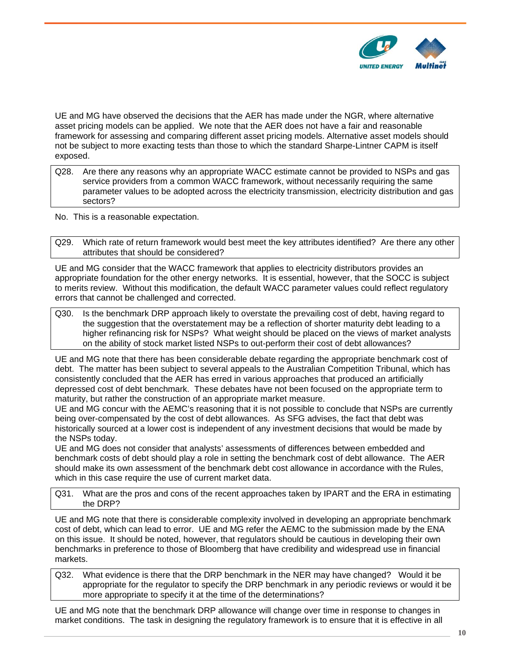

UE and MG have observed the decisions that the AER has made under the NGR, where alternative asset pricing models can be applied. We note that the AER does not have a fair and reasonable framework for assessing and comparing different asset pricing models. Alternative asset models should not be subject to more exacting tests than those to which the standard Sharpe-Lintner CAPM is itself exposed.

- Q28. Are there any reasons why an appropriate WACC estimate cannot be provided to NSPs and gas service providers from a common WACC framework, without necessarily requiring the same parameter values to be adopted across the electricity transmission, electricity distribution and gas sectors?
- No. This is a reasonable expectation.

Q29. Which rate of return framework would best meet the key attributes identified? Are there any other attributes that should be considered?

UE and MG consider that the WACC framework that applies to electricity distributors provides an appropriate foundation for the other energy networks. It is essential, however, that the SOCC is subject to merits review. Without this modification, the default WACC parameter values could reflect regulatory errors that cannot be challenged and corrected.

Q30. Is the benchmark DRP approach likely to overstate the prevailing cost of debt, having regard to the suggestion that the overstatement may be a reflection of shorter maturity debt leading to a higher refinancing risk for NSPs? What weight should be placed on the views of market analysts on the ability of stock market listed NSPs to out-perform their cost of debt allowances?

UE and MG note that there has been considerable debate regarding the appropriate benchmark cost of debt. The matter has been subject to several appeals to the Australian Competition Tribunal, which has consistently concluded that the AER has erred in various approaches that produced an artificially depressed cost of debt benchmark. These debates have not been focused on the appropriate term to maturity, but rather the construction of an appropriate market measure.

UE and MG concur with the AEMC's reasoning that it is not possible to conclude that NSPs are currently being over-compensated by the cost of debt allowances. As SFG advises, the fact that debt was historically sourced at a lower cost is independent of any investment decisions that would be made by the NSPs today.

UE and MG does not consider that analysts' assessments of differences between embedded and benchmark costs of debt should play a role in setting the benchmark cost of debt allowance. The AER should make its own assessment of the benchmark debt cost allowance in accordance with the Rules, which in this case require the use of current market data.

Q31. What are the pros and cons of the recent approaches taken by IPART and the ERA in estimating the DRP?

UE and MG note that there is considerable complexity involved in developing an appropriate benchmark cost of debt, which can lead to error. UE and MG refer the AEMC to the submission made by the ENA on this issue. It should be noted, however, that regulators should be cautious in developing their own benchmarks in preference to those of Bloomberg that have credibility and widespread use in financial markets.

Q32. What evidence is there that the DRP benchmark in the NER may have changed? Would it be appropriate for the regulator to specify the DRP benchmark in any periodic reviews or would it be more appropriate to specify it at the time of the determinations?

UE and MG note that the benchmark DRP allowance will change over time in response to changes in market conditions. The task in designing the regulatory framework is to ensure that it is effective in all